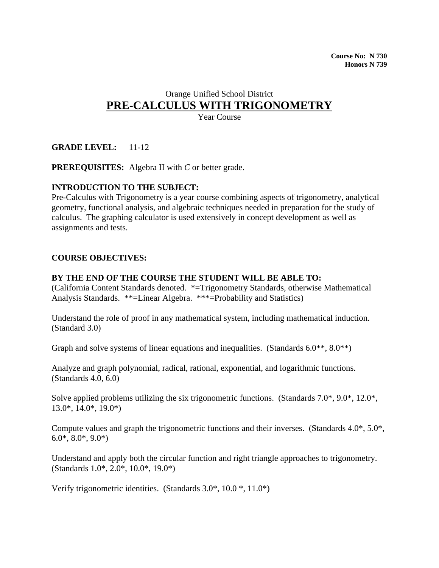# Orange Unified School District **PRE-CALCULUS WITH TRIGONOMETRY**

Year Course

# **GRADE LEVEL:** 11-12

**PREREQUISITES:** Algebra II with *C* or better grade.

# **INTRODUCTION TO THE SUBJECT:**

Pre-Calculus with Trigonometry is a year course combining aspects of trigonometry, analytical geometry, functional analysis, and algebraic techniques needed in preparation for the study of calculus. The graphing calculator is used extensively in concept development as well as assignments and tests.

#### **COURSE OBJECTIVES:**

#### **BY THE END OF THE COURSE THE STUDENT WILL BE ABLE TO:**

(California Content Standards denoted. \*=Trigonometry Standards, otherwise Mathematical Analysis Standards. \*\*=Linear Algebra. \*\*\*=Probability and Statistics)

Understand the role of proof in any mathematical system, including mathematical induction. (Standard 3.0)

Graph and solve systems of linear equations and inequalities. (Standards 6.0<sup>\*\*</sup>, 8.0<sup>\*\*</sup>)

Analyze and graph polynomial, radical, rational, exponential, and logarithmic functions. (Standards 4.0, 6.0)

Solve applied problems utilizing the six trigonometric functions. (Standards 7.0\*, 9.0\*, 12.0\*, 13.0\*, 14.0\*, 19.0\*)

Compute values and graph the trigonometric functions and their inverses. (Standards 4.0\*, 5.0\*,  $6.0^*, 8.0^*, 9.0^*$ 

Understand and apply both the circular function and right triangle approaches to trigonometry. (Standards 1.0\*, 2.0\*, 10.0\*, 19.0\*)

Verify trigonometric identities. (Standards 3.0\*, 10.0 \*, 11.0\*)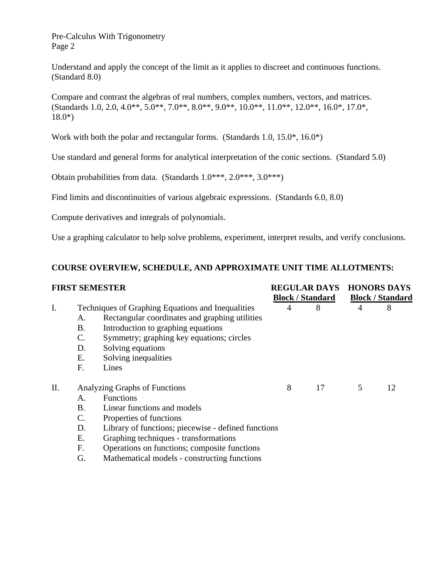Understand and apply the concept of the limit as it applies to discreet and continuous functions. (Standard 8.0)

Compare and contrast the algebras of real numbers, complex numbers, vectors, and matrices.  $(Standards 1.0, 2.0, 4.0^{**}, 5.0^{**}, 7.0^{**}, 8.0^{**}, 9.0^{**}, 10.0^{**}, 11.0^{**}, 12.0^{**}, 16.0^{*}, 17.0^{*},$ 18.0\*)

Work with both the polar and rectangular forms. (Standards 1.0, 15.0\*, 16.0\*)

Use standard and general forms for analytical interpretation of the conic sections. (Standard 5.0)

Obtain probabilities from data. (Standards 1.0\*\*\*, 2.0\*\*\*, 3.0\*\*\*)

Find limits and discontinuities of various algebraic expressions. (Standards 6.0, 8.0)

Compute derivatives and integrals of polynomials.

Use a graphing calculator to help solve problems, experiment, interpret results, and verify conclusions.

# **COURSE OVERVIEW, SCHEDULE, AND APPROXIMATE UNIT TIME ALLOTMENTS:**

|    | <b>FIRST SEMESTER</b>                             |                                                     | <b>REGULAR DAYS</b><br><b>Block / Standard</b> |    | <b>HONORS DAYS</b><br><b>Block / Standard</b> |    |
|----|---------------------------------------------------|-----------------------------------------------------|------------------------------------------------|----|-----------------------------------------------|----|
|    |                                                   |                                                     |                                                |    |                                               |    |
| I. | Techniques of Graphing Equations and Inequalities |                                                     | 4                                              | 8  | 4                                             | 8  |
|    | А.                                                | Rectangular coordinates and graphing utilities      |                                                |    |                                               |    |
|    | <b>B.</b>                                         | Introduction to graphing equations                  |                                                |    |                                               |    |
|    | C.                                                | Symmetry; graphing key equations; circles           |                                                |    |                                               |    |
|    | D.                                                | Solving equations                                   |                                                |    |                                               |    |
|    | Е.                                                | Solving inequalities                                |                                                |    |                                               |    |
|    | F.                                                | Lines                                               |                                                |    |                                               |    |
| Π. | Analyzing Graphs of Functions                     |                                                     | 8                                              | 17 | 5                                             | 12 |
|    | А.                                                | <b>Functions</b>                                    |                                                |    |                                               |    |
|    | Β.                                                | Linear functions and models                         |                                                |    |                                               |    |
|    | C.                                                | Properties of functions                             |                                                |    |                                               |    |
|    | D.                                                | Library of functions; piecewise - defined functions |                                                |    |                                               |    |
|    | Ε.                                                | Graphing techniques - transformations               |                                                |    |                                               |    |
|    | F.                                                | Operations on functions; composite functions        |                                                |    |                                               |    |
|    | G.                                                | Mathematical models - constructing functions        |                                                |    |                                               |    |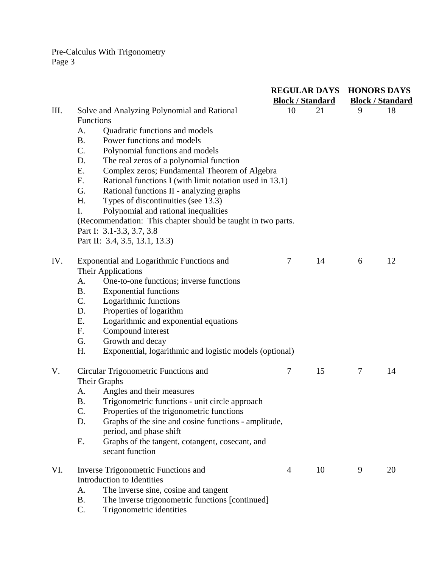|      |                                                                                                               |                | <b>REGULAR DAYS</b><br><b>Block / Standard</b> | <b>HONORS DAYS</b><br><b>Block / Standard</b> |    |  |
|------|---------------------------------------------------------------------------------------------------------------|----------------|------------------------------------------------|-----------------------------------------------|----|--|
| III. | Solve and Analyzing Polynomial and Rational                                                                   | 10             | 21                                             | 9                                             | 18 |  |
|      | Functions                                                                                                     |                |                                                |                                               |    |  |
|      | Quadratic functions and models<br>A.                                                                          |                |                                                |                                               |    |  |
|      | Power functions and models<br><b>B.</b>                                                                       |                |                                                |                                               |    |  |
|      | C.<br>Polynomial functions and models                                                                         |                |                                                |                                               |    |  |
|      | The real zeros of a polynomial function<br>D.                                                                 |                |                                                |                                               |    |  |
|      | E.<br>Complex zeros; Fundamental Theorem of Algebra                                                           |                |                                                |                                               |    |  |
|      | Rational functions I (with limit notation used in 13.1)<br>F.<br>G.                                           |                |                                                |                                               |    |  |
|      | Rational functions II - analyzing graphs<br>H.<br>Types of discontinuities (see 13.3)                         |                |                                                |                                               |    |  |
|      | I.                                                                                                            |                |                                                |                                               |    |  |
|      | Polynomial and rational inequalities<br>(Recommendation: This chapter should be taught in two parts.          |                |                                                |                                               |    |  |
|      | Part I: 3.1-3.3, 3.7, 3.8                                                                                     |                |                                                |                                               |    |  |
|      | Part II: 3.4, 3.5, 13.1, 13.3)                                                                                |                |                                                |                                               |    |  |
| IV.  | Exponential and Logarithmic Functions and                                                                     | $\tau$         | 14                                             | 6                                             | 12 |  |
|      | <b>Their Applications</b>                                                                                     |                |                                                |                                               |    |  |
|      | One-to-one functions; inverse functions<br>A.                                                                 |                |                                                |                                               |    |  |
|      | <b>Exponential functions</b><br><b>B.</b>                                                                     |                |                                                |                                               |    |  |
|      | C.<br>Logarithmic functions                                                                                   |                |                                                |                                               |    |  |
|      | Properties of logarithm<br>D.                                                                                 |                |                                                |                                               |    |  |
|      | Logarithmic and exponential equations<br>Ε.                                                                   |                |                                                |                                               |    |  |
|      | Compound interest<br>F.                                                                                       |                |                                                |                                               |    |  |
|      | Growth and decay<br>G.                                                                                        |                |                                                |                                               |    |  |
|      | H.<br>Exponential, logarithmic and logistic models (optional)                                                 |                |                                                |                                               |    |  |
| V.   | Circular Trigonometric Functions and                                                                          | $\tau$         | 15                                             | 7                                             | 14 |  |
|      | Their Graphs                                                                                                  |                |                                                |                                               |    |  |
|      | Angles and their measures<br>A.                                                                               |                |                                                |                                               |    |  |
|      | <b>B.</b><br>Trigonometric functions - unit circle approach                                                   |                |                                                |                                               |    |  |
|      | C.<br>Properties of the trigonometric functions<br>Graphs of the sine and cosine functions - amplitude,<br>D. |                |                                                |                                               |    |  |
|      | period, and phase shift                                                                                       |                |                                                |                                               |    |  |
|      | Graphs of the tangent, cotangent, cosecant, and<br>Ε.                                                         |                |                                                |                                               |    |  |
|      | secant function                                                                                               |                |                                                |                                               |    |  |
| VI.  | Inverse Trigonometric Functions and                                                                           | $\overline{4}$ | 10                                             | 9                                             | 20 |  |
|      | Introduction to Identities                                                                                    |                |                                                |                                               |    |  |
|      | The inverse sine, cosine and tangent<br>A.                                                                    |                |                                                |                                               |    |  |
|      | The inverse trigonometric functions [continued]<br><b>B.</b>                                                  |                |                                                |                                               |    |  |
|      | C.<br>Trigonometric identities                                                                                |                |                                                |                                               |    |  |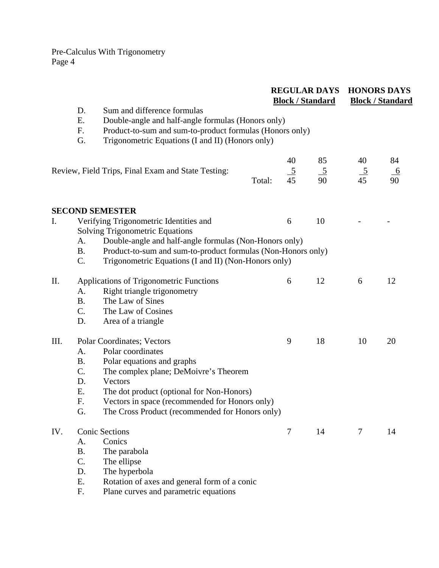|      |                                               |                                                                                                                                                                                                                                                                                     |        | <b>REGULAR DAYS</b><br><b>Block / Standard</b> |                      | <b>HONORS DAYS</b><br><b>Block / Standard</b> |                      |
|------|-----------------------------------------------|-------------------------------------------------------------------------------------------------------------------------------------------------------------------------------------------------------------------------------------------------------------------------------------|--------|------------------------------------------------|----------------------|-----------------------------------------------|----------------------|
|      | D.<br>Ε.<br>F.<br>G.                          | Sum and difference formulas<br>Double-angle and half-angle formulas (Honors only)<br>Product-to-sum and sum-to-product formulas (Honors only)<br>Trigonometric Equations (I and II) (Honors only)                                                                                   |        |                                                |                      |                                               |                      |
|      |                                               | Review, Field Trips, Final Exam and State Testing:                                                                                                                                                                                                                                  | Total: | 40<br>$\frac{5}{45}$                           | 85<br>$\frac{5}{90}$ | 40<br>$\frac{5}{45}$                          | 84<br>$\frac{6}{90}$ |
|      |                                               | <b>SECOND SEMESTER</b>                                                                                                                                                                                                                                                              |        |                                                |                      |                                               |                      |
| I.   |                                               | Verifying Trigonometric Identities and                                                                                                                                                                                                                                              |        | 6                                              | 10                   |                                               |                      |
|      | A.<br><b>B.</b><br>C.                         | <b>Solving Trigonometric Equations</b><br>Double-angle and half-angle formulas (Non-Honors only)<br>Product-to-sum and sum-to-product formulas (Non-Honors only)<br>Trigonometric Equations (I and II) (Non-Honors only)                                                            |        |                                                |                      |                                               |                      |
| II.  | A.<br><b>B.</b><br>C.<br>D.                   | Applications of Trigonometric Functions<br>Right triangle trigonometry<br>The Law of Sines<br>The Law of Cosines<br>Area of a triangle                                                                                                                                              |        | 6                                              | 12                   | 6                                             | 12                   |
| III. | A.<br><b>B.</b><br>C.<br>D.<br>Ε.<br>F.<br>G. | Polar Coordinates; Vectors<br>Polar coordinates<br>Polar equations and graphs<br>The complex plane; DeMoivre's Theorem<br>Vectors<br>The dot product (optional for Non-Honors)<br>Vectors in space (recommended for Honors only)<br>The Cross Product (recommended for Honors only) |        | 9                                              | 18                   | 10                                            | 20                   |
| IV.  | A.<br><b>B.</b><br>C.<br>D.<br>Ε.<br>F.       | <b>Conic Sections</b><br>Conics<br>The parabola<br>The ellipse<br>The hyperbola<br>Rotation of axes and general form of a conic<br>Plane curves and parametric equations                                                                                                            |        | $\tau$                                         | 14                   | 7                                             | 14                   |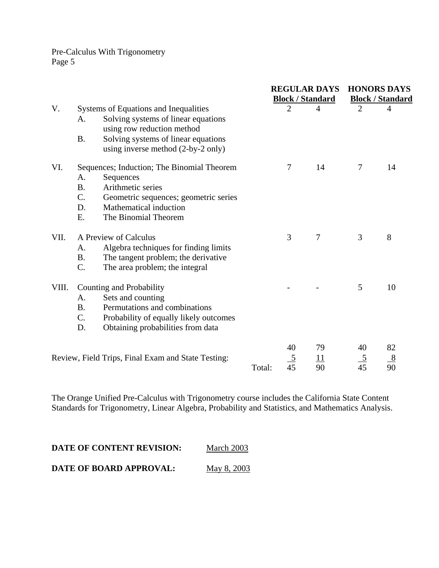|       |                                            |                                                    |        | <b>REGULAR DAYS</b><br><b>Block / Standard</b> |                | <b>HONORS DAYS</b><br><b>Block / Standard</b> |               |
|-------|--------------------------------------------|----------------------------------------------------|--------|------------------------------------------------|----------------|-----------------------------------------------|---------------|
| V.    | Systems of Equations and Inequalities      |                                                    |        | $\overline{2}$                                 | $\overline{4}$ | $\overline{2}$                                | 4             |
|       | A.                                         | Solving systems of linear equations                |        |                                                |                |                                               |               |
|       |                                            | using row reduction method                         |        |                                                |                |                                               |               |
|       | <b>B.</b>                                  | Solving systems of linear equations                |        |                                                |                |                                               |               |
|       |                                            | using inverse method (2-by-2 only)                 |        |                                                |                |                                               |               |
| VI.   | Sequences; Induction; The Binomial Theorem |                                                    |        | $\overline{7}$                                 | 14             | $\overline{7}$                                | 14            |
|       | A.                                         | Sequences                                          |        |                                                |                |                                               |               |
|       | <b>B.</b>                                  | Arithmetic series                                  |        |                                                |                |                                               |               |
|       | C.                                         | Geometric sequences; geometric series              |        |                                                |                |                                               |               |
|       | D.                                         | Mathematical induction                             |        |                                                |                |                                               |               |
|       | Ε.                                         | The Binomial Theorem                               |        |                                                |                |                                               |               |
| VII.  | A Preview of Calculus                      |                                                    |        | 3                                              | $\overline{7}$ | 3                                             | 8             |
|       | A.                                         | Algebra techniques for finding limits              |        |                                                |                |                                               |               |
|       | <b>B.</b>                                  | The tangent problem; the derivative                |        |                                                |                |                                               |               |
|       | C.                                         | The area problem; the integral                     |        |                                                |                |                                               |               |
| VIII. | Counting and Probability                   |                                                    |        |                                                |                | 5                                             | 10            |
|       | A.                                         | Sets and counting                                  |        |                                                |                |                                               |               |
|       | <b>B.</b>                                  | Permutations and combinations                      |        |                                                |                |                                               |               |
|       | C.                                         | Probability of equally likely outcomes             |        |                                                |                |                                               |               |
|       | D.                                         | Obtaining probabilities from data                  |        |                                                |                |                                               |               |
|       |                                            |                                                    |        | 40                                             | 79             | 40                                            | 82            |
|       |                                            | Review, Field Trips, Final Exam and State Testing: |        |                                                | <u> 11</u>     |                                               | $\frac{8}{2}$ |
|       |                                            |                                                    | Total: | $\frac{5}{45}$                                 | 90             | $\frac{5}{45}$                                | 90            |

The Orange Unified Pre-Calculus with Trigonometry course includes the California State Content Standards for Trigonometry, Linear Algebra, Probability and Statistics, and Mathematics Analysis.

| DATE OF CONTENT REVISION: | March 2003  |
|---------------------------|-------------|
| DATE OF BOARD APPROVAL:   | May 8, 2003 |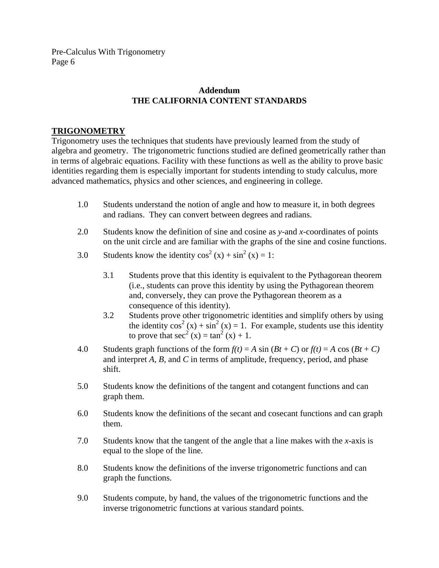# **Addendum THE CALIFORNIA CONTENT STANDARDS**

# **TRIGONOMETRY**

Trigonometry uses the techniques that students have previously learned from the study of algebra and geometry. The trigonometric functions studied are defined geometrically rather than in terms of algebraic equations. Facility with these functions as well as the ability to prove basic identities regarding them is especially important for students intending to study calculus, more advanced mathematics, physics and other sciences, and engineering in college.

- 1.0Students understand the notion of angle and how to measure it, in both degrees and radians. They can convert between degrees and radians.
- 2.0Students know the definition of sine and cosine as *y-*and *x-*coordinates of points on the unit circle and are familiar with the graphs of the sine and cosine functions.
- 3.0 Students know the identity  $cos^2(x) + sin^2(x) = 1$ :
	- 3.1 Students prove that this identity is equivalent to the Pythagorean theorem (i.e., students can prove this identity by using the Pythagorean theorem and, conversely, they can prove the Pythagorean theorem as a consequence of this identity).
- 3.2 Students prove other trigonometric identities and simplify others by using the identity  $cos^2(x) + sin^2(x) = 1$ . For example, students use this identity to prove that  $\sec^2(x) = \tan^2(x) + 1$ .
	- 4.0 Students graph functions of the form  $f(t) = A \sin(Bt + C)$  or  $f(t) = A \cos(Bt + C)$ and interpret *A, B,* and *C* in terms of amplitude, frequency, period, and phase shift.
	- 5.0Students know the definitions of the tangent and cotangent functions and can graph them.
	- 6.0Students know the definitions of the secant and cosecant functions and can graph them.
	- 7.0Students know that the tangent of the angle that a line makes with the *x-*axis is equal to the slope of the line.
	- 8.0Students know the definitions of the inverse trigonometric functions and can graph the functions.
	- 9.0Students compute, by hand, the values of the trigonometric functions and the inverse trigonometric functions at various standard points.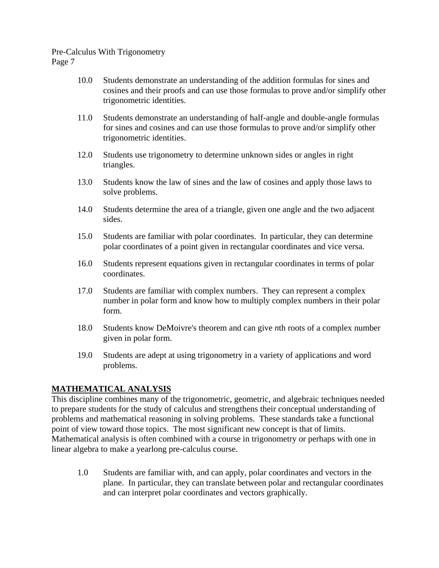- 10.0Students demonstrate an understanding of the addition formulas for sines and cosines and their proofs and can use those formulas to prove and/or simplify other trigonometric identities.
- 11.0Students demonstrate an understanding of half-angle and double-angle formulas for sines and cosines and can use those formulas to prove and/or simplify other trigonometric identities.
- 12.0Students use trigonometry to determine unknown sides or angles in right triangles.
- 13.0Students know the law of sines and the law of cosines and apply those laws to solve problems.
- 14.0Students determine the area of a triangle, given one angle and the two adjacent sides.
- 15.0Students are familiar with polar coordinates. In particular, they can determine polar coordinates of a point given in rectangular coordinates and vice versa.
- 16.0Students represent equations given in rectangular coordinates in terms of polar coordinates.
- 17.0Students are familiar with complex numbers. They can represent a complex number in polar form and know how to multiply complex numbers in their polar form.
- 18.0Students know DeMoivre's theorem and can give *n*th roots of a complex number given in polar form.
- 19.0Students are adept at using trigonometry in a variety of applications and word problems.

# **MATHEMATICAL ANALYSIS**

This discipline combines many of the trigonometric, geometric, and algebraic techniques needed to prepare students for the study of calculus and strengthens their conceptual understanding of problems and mathematical reasoning in solving problems. These standards take a functional point of view toward those topics. The most significant new concept is that of limits. Mathematical analysis is often combined with a course in trigonometry or perhaps with one in linear algebra to make a yearlong pre-calculus course.

1.0Students are familiar with, and can apply, polar coordinates and vectors in the plane. In particular, they can translate between polar and rectangular coordinates and can interpret polar coordinates and vectors graphically.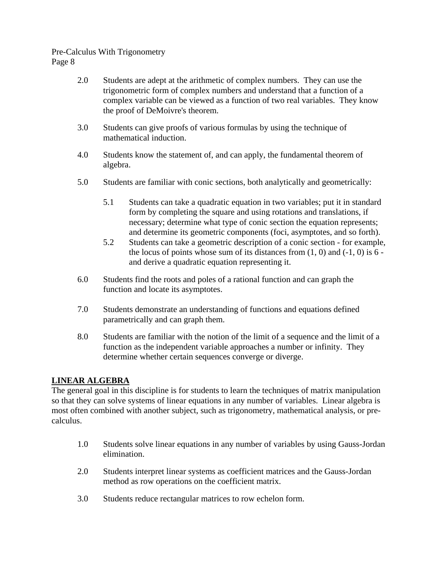- 2.0 Students are adept at the arithmetic of complex numbers. They can use the trigonometric form of complex numbers and understand that a function of a complex variable can be viewed as a function of two real variables. They know the proof of DeMoivre's theorem.
- 3.0Students can give proofs of various formulas by using the technique of mathematical induction.
- 4.0Students know the statement of, and can apply, the fundamental theorem of algebra.
- 5.0Students are familiar with conic sections, both analytically and geometrically:
	- 5.1 Students can take a quadratic equation in two variables; put it in standard form by completing the square and using rotations and translations, if necessary; determine what type of conic section the equation represents; and determine its geometric components (foci, asymptotes, and so forth).
	- 5.2 Students can take a geometric description of a conic section for example, the locus of points whose sum of its distances from  $(1, 0)$  and  $(-1, 0)$  is 6 and derive a quadratic equation representing it.
- 6.0Students find the roots and poles of a rational function and can graph the function and locate its asymptotes.
- 7.0Students demonstrate an understanding of functions and equations defined parametrically and can graph them.
- 8.0Students are familiar with the notion of the limit of a sequence and the limit of a function as the independent variable approaches a number or infinity. They determine whether certain sequences converge or diverge.

# **LINEAR ALGEBRA**

The general goal in this discipline is for students to learn the techniques of matrix manipulation so that they can solve systems of linear equations in any number of variables. Linear algebra is most often combined with another subject, such as trigonometry, mathematical analysis, or precalculus.

- 1.0Students solve linear equations in any number of variables by using Gauss-Jordan elimination.
- 2.0Students interpret linear systems as coefficient matrices and the Gauss-Jordan method as row operations on the coefficient matrix.
- 3.0Students reduce rectangular matrices to row echelon form.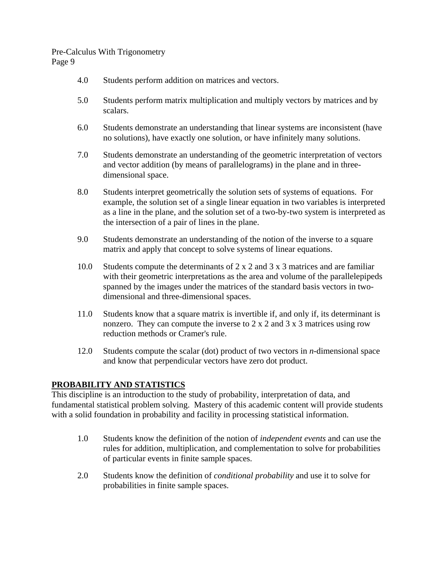- 4.0Students perform addition on matrices and vectors.
- 5.0Students perform matrix multiplication and multiply vectors by matrices and by scalars.
- 6.0Students demonstrate an understanding that linear systems are inconsistent (have no solutions), have exactly one solution, or have infinitely many solutions.
- 7.0Students demonstrate an understanding of the geometric interpretation of vectors and vector addition (by means of parallelograms) in the plane and in threedimensional space.
- 8.0Students interpret geometrically the solution sets of systems of equations. For example, the solution set of a single linear equation in two variables is interpreted as a line in the plane, and the solution set of a two-by-two system is interpreted as the intersection of a pair of lines in the plane.
- 9.0Students demonstrate an understanding of the notion of the inverse to a square matrix and apply that concept to solve systems of linear equations.
- 10.0Students compute the determinants of 2 x 2 and 3 x 3 matrices and are familiar with their geometric interpretations as the area and volume of the parallelepipeds spanned by the images under the matrices of the standard basis vectors in twodimensional and three-dimensional spaces.
- 11.0Students know that a square matrix is invertible if, and only if, its determinant is nonzero. They can compute the inverse to 2 x 2 and 3 x 3 matrices using row reduction methods or Cramer's rule.
- 12.0Students compute the scalar (dot) product of two vectors in *n-*dimensional space and know that perpendicular vectors have zero dot product.

# **PROBABILITY AND STATISTICS**

This discipline is an introduction to the study of probability, interpretation of data, and fundamental statistical problem solving. Mastery of this academic content will provide students with a solid foundation in probability and facility in processing statistical information.

- 1.0Students know the definition of the notion of *independent events* and can use the rules for addition, multiplication, and complementation to solve for probabilities of particular events in finite sample spaces.
- 2.0Students know the definition of *conditional probability* and use it to solve for probabilities in finite sample spaces.